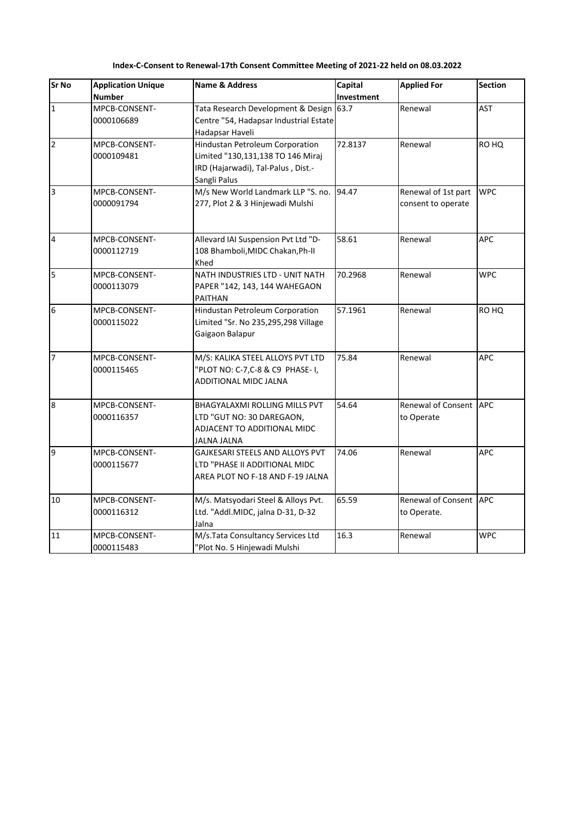| Sr No                   | <b>Application Unique</b>   | <b>Name &amp; Address</b>                                                                                                  | Capital    | <b>Applied For</b>                        | <b>Section</b> |
|-------------------------|-----------------------------|----------------------------------------------------------------------------------------------------------------------------|------------|-------------------------------------------|----------------|
|                         | <b>Number</b>               |                                                                                                                            | Investment |                                           |                |
| $\overline{1}$          | MPCB-CONSENT-<br>0000106689 | Tata Research Development & Design 63.7<br>Centre "54, Hadapsar Industrial Estate<br>Hadapsar Haveli                       |            | Renewal                                   | <b>AST</b>     |
| $\overline{2}$          | MPCB-CONSENT-<br>0000109481 | Hindustan Petroleum Corporation<br>Limited "130,131,138 TO 146 Miraj<br>IRD (Hajarwadi), Tal-Palus, Dist.-<br>Sangli Palus | 72.8137    | Renewal                                   | RO HQ          |
| $\overline{\mathbf{3}}$ | MPCB-CONSENT-<br>0000091794 | M/s New World Landmark LLP "S. no.<br>277, Plot 2 & 3 Hinjewadi Mulshi                                                     | 94.47      | Renewal of 1st part<br>consent to operate | <b>WPC</b>     |
| $\overline{4}$          | MPCB-CONSENT-<br>0000112719 | Allevard IAI Suspension Pvt Ltd "D-<br>108 Bhamboli, MIDC Chakan, Ph-II<br>Khed                                            | 58.61      | Renewal                                   | APC            |
| 5                       | MPCB-CONSENT-<br>0000113079 | NATH INDUSTRIES LTD - UNIT NATH<br>PAPER "142, 143, 144 WAHEGAON<br>PAITHAN                                                | 70.2968    | Renewal                                   | <b>WPC</b>     |
| 6                       | MPCB-CONSENT-<br>0000115022 | Hindustan Petroleum Corporation<br>Limited "Sr. No 235,295,298 Village<br>Gaigaon Balapur                                  | 57.1961    | Renewal                                   | RO HQ          |
| $\overline{7}$          | MPCB-CONSENT-<br>0000115465 | M/S: KALIKA STEEL ALLOYS PVT LTD<br>"PLOT NO: C-7,C-8 & C9 PHASE-1,<br>ADDITIONAL MIDC JALNA                               | 75.84      | Renewal                                   | <b>APC</b>     |
| $\overline{8}$          | MPCB-CONSENT-<br>0000116357 | <b>BHAGYALAXMI ROLLING MILLS PVT</b><br>LTD "GUT NO: 30 DAREGAON,<br>ADJACENT TO ADDITIONAL MIDC<br><b>JALNA JALNA</b>     | 54.64      | Renewal of Consent APC<br>to Operate      |                |
| 9                       | MPCB-CONSENT-<br>0000115677 | GAJKESARI STEELS AND ALLOYS PVT<br>LTD "PHASE II ADDITIONAL MIDC<br>AREA PLOT NO F-18 AND F-19 JALNA                       | 74.06      | Renewal                                   | APC            |
| 10                      | MPCB-CONSENT-<br>0000116312 | M/s. Matsyodari Steel & Alloys Pvt.<br>Ltd. "Addl.MIDC, jalna D-31, D-32<br>Jalna                                          | 65.59      | Renewal of Consent APC<br>to Operate.     |                |
| 11                      | MPCB-CONSENT-<br>0000115483 | M/s.Tata Consultancy Services Ltd<br>"Plot No. 5 Hinjewadi Mulshi                                                          | 16.3       | Renewal                                   | <b>WPC</b>     |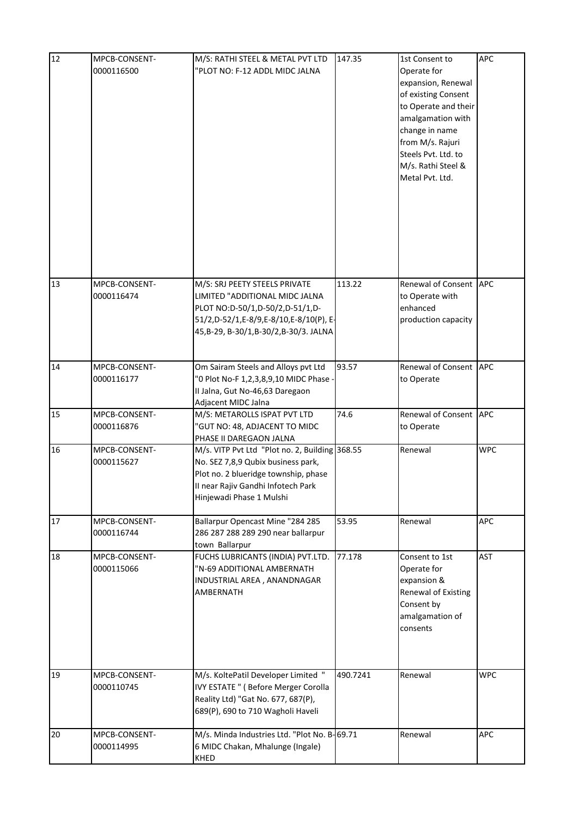| 12 | MPCB-CONSENT-<br>0000116500 | M/S: RATHI STEEL & METAL PVT LTD<br>"PLOT NO: F-12 ADDL MIDC JALNA                                                                                                                             | 147.35   | 1st Consent to<br>Operate for<br>expansion, Renewal<br>of existing Consent<br>to Operate and their<br>amalgamation with<br>change in name<br>from M/s. Rajuri<br>Steels Pvt. Ltd. to<br>M/s. Rathi Steel &<br>Metal Pvt. Ltd. | APC        |
|----|-----------------------------|------------------------------------------------------------------------------------------------------------------------------------------------------------------------------------------------|----------|-------------------------------------------------------------------------------------------------------------------------------------------------------------------------------------------------------------------------------|------------|
| 13 | MPCB-CONSENT-<br>0000116474 | M/S: SRJ PEETY STEELS PRIVATE<br>LIMITED "ADDITIONAL MIDC JALNA<br>PLOT NO:D-50/1,D-50/2,D-51/1,D-<br>51/2,D-52/1,E-8/9,E-8/10,E-8/10(P), E-<br>45, B-29, B-30/1, B-30/2, B-30/3. JALNA        | 113.22   | Renewal of Consent<br>to Operate with<br>enhanced<br>production capacity                                                                                                                                                      | APC        |
| 14 | MPCB-CONSENT-<br>0000116177 | Om Sairam Steels and Alloys pvt Ltd<br>"0 Plot No-F 1,2,3,8,9,10 MIDC Phase -<br>II Jalna, Gut No-46,63 Daregaon<br>Adjacent MIDC Jalna                                                        | 93.57    | Renewal of Consent<br>to Operate                                                                                                                                                                                              | <b>APC</b> |
| 15 | MPCB-CONSENT-<br>0000116876 | M/S: METAROLLS ISPAT PVT LTD<br>"GUT NO: 48, ADJACENT TO MIDC<br>PHASE II DAREGAON JALNA                                                                                                       | 74.6     | Renewal of Consent APC<br>to Operate                                                                                                                                                                                          |            |
| 16 | MPCB-CONSENT-<br>0000115627 | M/s. VITP Pvt Ltd "Plot no. 2, Building 368.55<br>No. SEZ 7,8,9 Qubix business park,<br>Plot no. 2 blueridge township, phase<br>II near Raiiv Gandhi Infotech Park<br>Hinjewadi Phase 1 Mulshi |          | Renewal                                                                                                                                                                                                                       | <b>WPC</b> |
| 17 | MPCB-CONSENT-<br>0000116744 | Ballarpur Opencast Mine "284 285<br>286 287 288 289 290 near ballarpur<br>town Ballarpur                                                                                                       | 53.95    | Renewal                                                                                                                                                                                                                       | APC        |
| 18 | MPCB-CONSENT-<br>0000115066 | FUCHS LUBRICANTS (INDIA) PVT.LTD.<br>"N-69 ADDITIONAL AMBERNATH<br>INDUSTRIAL AREA, ANANDNAGAR<br>AMBERNATH                                                                                    | 77.178   | Consent to 1st<br>Operate for<br>expansion &<br><b>Renewal of Existing</b><br>Consent by<br>amalgamation of<br>consents                                                                                                       | <b>AST</b> |
| 19 | MPCB-CONSENT-<br>0000110745 | M/s. KoltePatil Developer Limited "<br>IVY ESTATE " (Before Merger Corolla<br>Reality Ltd) "Gat No. 677, 687(P),<br>689(P), 690 to 710 Wagholi Haveli                                          | 490.7241 | Renewal                                                                                                                                                                                                                       | <b>WPC</b> |
| 20 | MPCB-CONSENT-<br>0000114995 | M/s. Minda Industries Ltd. "Plot No. B-69.71<br>6 MIDC Chakan, Mhalunge (Ingale)<br>KHED                                                                                                       |          | Renewal                                                                                                                                                                                                                       | APC        |